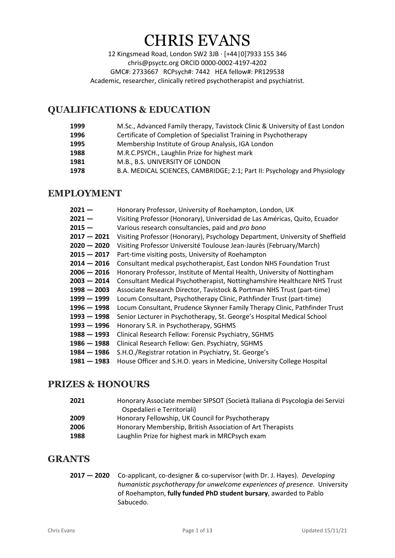# CHRIS EVANS

12 Kingsmead Road, London SW2 3JB · [+44|0]7933 155 346 chris@psyctc.org ORCID 0000-0002-4197-4202 GMC#: 2733667 RCPsych#: 7442 HEA fellow#: PR129538 Academic, researcher, clinically retired psychotherapist and psychiatrist.

# **QUALIFICATIONS & EDUCATION**

| 1999 | M.Sc., Advanced Family therapy, Tavistock Clinic & University of East London |
|------|------------------------------------------------------------------------------|
|------|------------------------------------------------------------------------------|

- **1996** Certificate of Completion of Specialist Training in Psychotherapy
- **1995** Membership Institute of Group Analysis, IGA London
- **1988** M.R.C.PSYCH., Laughlin Prize for highest mark
- **1981** M.B., B.S. UNIVERSITY OF LONDON
- **1978** B.A. MEDICAL SCIENCES, CAMBRIDGE; 2:1; Part II: Psychology and Physiology

#### **EMPLOYMENT**

| $2021 -$      | Honorary Professor, University of Roehampton, London, UK                      |
|---------------|-------------------------------------------------------------------------------|
| $2021 -$      | Visiting Professor (Honorary), Universidad de Las Américas, Quito, Ecuador    |
| $2015 -$      | Various research consultancies, paid and pro bono                             |
| $2017 - 2021$ | Visiting Professor (Honorary), Psychology Department, University of Sheffield |
| $2020 - 2020$ | Visiting Professor Université Toulouse Jean-Jaurès (February/March)           |
| $2015 - 2017$ | Part-time visiting posts, University of Roehampton                            |
| $2014 - 2016$ | Consultant medical psychotherapist, East London NHS Foundation Trust          |
| $2006 - 2016$ | Honorary Professor, Institute of Mental Health, University of Nottingham      |
| $2003 - 2014$ | Consultant Medical Psychotherapist, Nottinghamshire Healthcare NHS Trust      |
| $1998 - 2003$ | Associate Research Director, Tavistock & Portman NHS Trust (part-time)        |
| $1999 - 1999$ | Locum Consultant, Psychotherapy Clinic, Pathfinder Trust (part-time)          |
| $1996 - 1998$ | Locum Consultant, Prudence Skynner Family Therapy Clinic, Pathfinder Trust    |
| $1993 - 1998$ | Senior Lecturer in Psychotherapy, St. George's Hospital Medical School        |
| $1993 - 1996$ | Honorary S.R. in Psychotherapy, SGHMS                                         |
| $1988 - 1993$ | Clinical Research Fellow: Forensic Psychiatry, SGHMS                          |
| $1986 - 1988$ | Clinical Research Fellow: Gen. Psychiatry, SGHMS                              |
| $1984 - 1986$ | S.H.O./Registrar rotation in Psychiatry, St. George's                         |
| $1981 - 1983$ | House Officer and S.H.O. years in Medicine, University College Hospital       |
|               |                                                                               |

# **PRIZES & HONOURS**

| 2021 | Honorary Associate member SIPSOT (Società Italiana di Psycologia dei Servizi |
|------|------------------------------------------------------------------------------|
|      | Ospedalieri e Territoriali)                                                  |
| 2009 | Honorary Fellowship, UK Council for Psychotherapy                            |
| 2006 | Honorary Membership, British Association of Art Therapists                   |
| 1988 | Laughlin Prize for highest mark in MRCPsych exam                             |
|      |                                                                              |

# **GRANTS**

**2017 — 2020** Co-applicant, co-designer & co-supervisor (with Dr. J. Hayes). *Developing humanistic psychotherapy for unwelcome experiences of presence.* University of Roehampton, **fully funded PhD student bursary**, awarded to Pablo Sabucedo.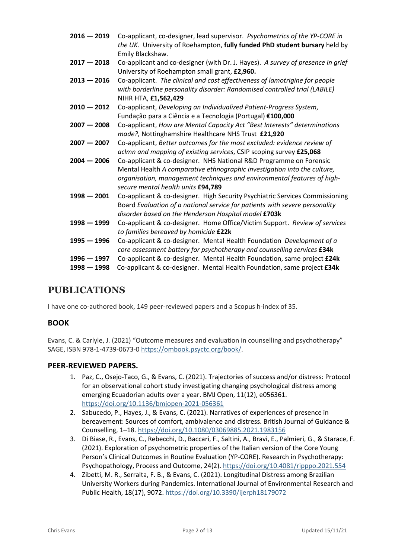| $2016 - 2019$                  | Co-applicant, co-designer, lead supervisor. Psychometrics of the YP-CORE in<br>the UK. University of Roehampton, fully funded PhD student bursary held by<br>Emily Blackshaw.                                                                                   |
|--------------------------------|-----------------------------------------------------------------------------------------------------------------------------------------------------------------------------------------------------------------------------------------------------------------|
| $2017 - 2018$                  | Co-applicant and co-designer (with Dr. J. Hayes). A survey of presence in grief<br>University of Roehampton small grant, £2,960.                                                                                                                                |
| $2013 - 2016$                  | Co-applicant. The clinical and cost effectiveness of lamotrigine for people<br>with borderline personality disorder: Randomised controlled trial (LABILE)<br>NIHR HTA, £1,562,429                                                                               |
| $2010 - 2012$                  | Co-applicant, Developing an Individualized Patient-Progress System,<br>Fundação para a Ciência e a Tecnologia (Portugal) €100,000                                                                                                                               |
| $2007 - 2008$                  | Co-applicant, How are Mental Capacity Act "Best Interests" determinations<br>made?, Nottinghamshire Healthcare NHS Trust £21,920                                                                                                                                |
| $2007 - 2007$                  | Co-applicant, Better outcomes for the most excluded: evidence review of<br>aclmn and mapping of existing services, CSIP scoping survey £25,068                                                                                                                  |
| $2004 - 2006$                  | Co-applicant & co-designer. NHS National R&D Programme on Forensic<br>Mental Health A comparative ethnographic investigation into the culture,<br>organisation, management techniques and environmental features of high-<br>secure mental health units £94,789 |
| $1998 - 2001$                  | Co-applicant & co-designer. High Security Psychiatric Services Commissioning<br>Board Evaluation of a national service for patients with severe personality<br>disorder based on the Henderson Hospital model £703k                                             |
| $1998 - 1999$                  | Co-applicant & co-designer. Home Office/Victim Support. Review of services<br>to families bereaved by homicide £22k                                                                                                                                             |
| $1995 - 1996$                  | Co-applicant & co-designer. Mental Health Foundation Development of a<br>core assessment battery for psychotherapy and counselling services £34k                                                                                                                |
| $1996 - 1997$<br>$1998 - 1998$ | Co-applicant & co-designer. Mental Health Foundation, same project £24k<br>Co-applicant & co-designer. Mental Health Foundation, same project £34k                                                                                                              |

# **PUBLICATIONS**

I have one co-authored book, 149 peer-reviewed papers and a Scopus h-index of 35.

#### **BOOK**

Evans, C. & Carlyle, J. (2021) "Outcome measures and evaluation in counselling and psychotherapy" SAGE, ISBN 978-1-4739-0673-0 [https://ombook.psyctc.org/book/.](https://ombook.psyctc.org/book/)

#### **PEER-REVIEWED PAPERS.**

- 1. Paz, C., Osejo-Taco, G., & Evans, C. (2021). Trajectories of success and/or distress: Protocol for an observational cohort study investigating changing psychological distress among emerging Ecuadorian adults over a year. BMJ Open, 11(12), e056361. <https://doi.org/10.1136/bmjopen-2021-056361>
- 2. Sabucedo, P., Hayes, J., & Evans, C. (2021). Narratives of experiences of presence in bereavement: Sources of comfort, ambivalence and distress. British Journal of Guidance & Counselling, 1–18.<https://doi.org/10.1080/03069885.2021.1983156>
- 3. Di Biase, R., Evans, C., Rebecchi, D., Baccari, F., Saltini, A., Bravi, E., Palmieri, G., & Starace, F. (2021). Exploration of psychometric properties of the Italian version of the Core Young Person's Clinical Outcomes in Routine Evaluation (YP-CORE). Research in Psychotherapy: Psychopathology, Process and Outcome, 24(2).<https://doi.org/10.4081/ripppo.2021.554>
- 4. Zibetti, M. R., Serralta, F. B., & Evans, C. (2021). Longitudinal Distress among Brazilian University Workers during Pandemics. International Journal of Environmental Research and Public Health, 18(17), 9072[. https://doi.org/10.3390/ijerph18179072](https://doi.org/10.3390/ijerph18179072)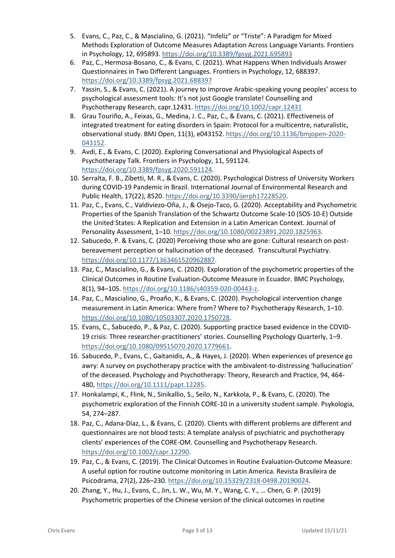- 5. Evans, C., Paz, C., & Mascialino, G. (2021). "Infeliz" or "Triste": A Paradigm for Mixed Methods Exploration of Outcome Measures Adaptation Across Language Variants. Frontiers in Psychology, 12, 695893[. https://doi.org/10.3389/fpsyg.2021.695893](https://doi.org/10.3389/fpsyg.2021.695893)
- 6. Paz, C., Hermosa-Bosano, C., & Evans, C. (2021). What Happens When Individuals Answer Questionnaires in Two Different Languages. Frontiers in Psychology, 12, 688397. <https://doi.org/10.3389/fpsyg.2021.688397>
- 7. Yassin, S., & Evans, C. (2021). A journey to improve Arabic-speaking young peoples' access to psychological assessment tools: It's not just Google translate! Counselling and Psychotherapy Research, capr.12431[. https://doi.org/10.1002/capr.12431](https://doi.org/10.1002/capr.12431)
- 8. Grau Touriño, A., Feixas, G., Medina, J. C., Paz, C., & Evans, C. (2021). Effectiveness of integrated treatment for eating disorders in Spain: Protocol for a multicentre, naturalistic, observational study. BMJ Open, 11(3), e043152[. https://doi.org/10.1136/bmjopen-2020-](https://doi.org/10.1136/bmjopen-2020-043152) [043152.](https://doi.org/10.1136/bmjopen-2020-043152)
- 9. Avdi, E., & Evans, C. (2020). Exploring Conversational and Physiological Aspects of Psychotherapy Talk. Frontiers in Psychology, 11, 591124. [https://doi.org/10.3389/fpsyg.2020.591124.](https://doi.org/10.3389/fpsyg.2020.591124)
- 10. Serralta, F. B., Zibetti, M. R., & Evans, C. (2020). Psychological Distress of University Workers during COVID-19 Pandemic in Brazil. International Journal of Environmental Research and Public Health, 17(22), 8520[. https://doi.org/10.3390/ijerph17228520.](https://doi.org/10.3390/ijerph17228520)
- 11. Paz, C., Evans, C., Valdiviezo-Oña, J., & Osejo-Taco, G. (2020). Acceptability and Psychometric Properties of the Spanish Translation of the Schwartz Outcome Scale-10 (SOS-10-E) Outside the United States: A Replication and Extension in a Latin American Context. Journal of Personality Assessment, 1–10[. https://doi.org/10.1080/00223891.2020.1825963.](https://doi.org/10.1080/00223891.2020.1825963)
- 12. Sabucedo, P. & Evans, C. (2020) Perceiving those who are gone: Cultural research on postbereavement perception or hallucination of the deceased. Transcultural Psychiatry. [https://doi.org/10.1177/1363461520962887.](https://doi.org/10.1177/1363461520962887)
- 13. Paz, C., Mascialino, G., & Evans, C. (2020). Exploration of the psychometric properties of the Clinical Outcomes in Routine Evaluation-Outcome Measure in Ecuador. BMC Psychology, 8(1), 94–105. [https://doi.org/10.1186/s40359-020-00443-z.](https://doi.org/10.1186/s40359-020-00443-z)
- 14. Paz, C., Mascialino, G., Proaño, K., & Evans, C. (2020). Psychological intervention change measurement in Latin America: Where from? Where to? Psychotherapy Research, 1–10. [https://doi.org/10.1080/10503307.2020.1750728.](https://doi.org/10.1080/10503307.2020.1750728)
- 15. Evans, C., Sabucedo, P., & Paz, C. (2020). Supporting practice based evidence in the COVID-19 crisis: Three researcher-practitioners' stories. Counselling Psychology Quarterly, 1–9. [https://doi.org/10.1080/09515070.2020.1779661.](https://doi.org/10.1080/09515070.2020.1779661)
- 16. Sabucedo, P., Evans, C., Gaitanidis, A., & Hayes, J. (2020). When experiences of presence go awry: A survey on psychotherapy practice with the ambivalent-to-distressing 'hallucination' of the deceased. Psychology and Psychotherapy: Theory, Research and Practice, 94, 464- 480, [https://doi.org/10.1111/papt.12285.](https://doi.org/10.1111/papt.12285)
- 17. Honkalampi, K., Flink, N., Sinikallio, S., Seilo, N., Karkkola, P., & Evans, C. (2020). The psychometric exploration of the Finnish CORE-10 in a university student sample. Psykologia, 54, 274–287.
- 18. Paz, C., Adana-Díaz, L., & Evans, C. (2020). Clients with different problems are different and questionnaires are not blood tests: A template analysis of psychiatric and psychotherapy clients' experiences of the CORE-OM. Counselling and Psychotherapy Research. [https://doi.org/10.1002/capr.12290.](https://doi.org/10.1002/capr.12290)
- 19. Paz, C., & Evans, C. (2019). The Clinical Outcomes in Routine Evaluation-Outcome Measure: A useful option for routine outcome monitoring in Latin America. Revista Brasileira de Psicodrama, 27(2), 226–230[. https://doi.org/10.15329/2318-0498.20190024.](https://doi.org/10.15329/2318-0498.20190024)
- 20. Zhang, Y., Hu, J., Evans, C., Jin, L. W., Wu, M. Y., Wang, C. Y., … Chen, G. P. (2019) Psychometric properties of the Chinese version of the clinical outcomes in routine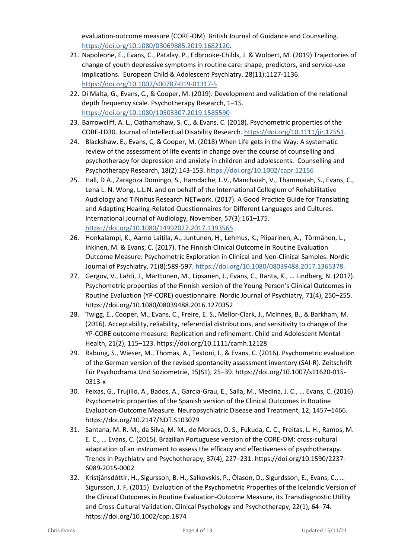evaluation-outcome measure (CORE-OM) British Journal of Guidance and Counselling. [https://doi.org/10.1080/03069885.2019.1682120.](https://doi.org/10.1080/03069885.2019.1682120)

- 21. Napoleone, E., Evans, C., Patalay, P., Edbrooke-Childs, J. & Wolpert, M. (2019) Trajectories of change of youth depressive symptoms in routine care: shape, predictors, and service-use implications. European Child & Adolescent Psychiatry. 28(11):1127-1136. [https://doi.org/10.1007/s00787-019-01317-5.](https://doi.org/10.1007/s00787-019-01317-5)
- 22. Di Malta, G., Evans, C., & Cooper, M. (2019). Development and validation of the relational depth frequency scale. Psychotherapy Research, 1–15. <https://doi.org/10.1080/10503307.2019.1585590>
- 23. Barrowcliff, A. L., Oathamshaw, S. C., & Evans, C. (2018). Psychometric properties of the CORE-LD30. Journal of Intellectual Disability Research. [https://doi.org/10.1111/jir.12551.](https://doi.org/10.1111/jir.12551)
- 24. Blackshaw, E., Evans, C, & Cooper, M. (2018) When Life gets in the Way: A systematic review of the assessment of life events in change over the course of counselling and psychotherapy for depression and anxiety in children and adolescents. Counselling and Psychotherapy Research, 18(2):143-153. <https://doi.org/10.1002/capr.12156>
- 25. Hall, D A., Zaragoza Domingo, S., Hamdache, L.V., Manchaiah, V., Thammaiah, S., Evans, C., Lena L. N. Wong, L.L.N. and on behalf of the International Collegium of Rehabilitative Audiology and TINnitus Research NETwork. (2017). A Good Practice Guide for Translating and Adapting Hearing-Related Questionnaires for Different Languages and Cultures. International Journal of Audiology, November, 57(3):161–175. [https://doi.org/10.1080/14992027.2017.1393565.](https://doi.org/10.1080/14992027.2017.1393565)
- 26. Honkalampi, K., Aarno Laitila, A., Juntunen, H., Lehmus, K., Piiparinen, A., Törmänen, L., Inkinen, M. & Evans, C. (2017). The Finnish Clinical Outcome in Routine Evaluation Outcome Measure: Psychometric Exploration in Clinical and Non-Clinical Samples. Nordic Journal of Psychiatry, 71(8):589-597[. https://doi.org/10.1080/08039488.2017.1365378.](https://doi.org/10.1080/08039488.2017.1365378)
- 27. Gergov, V., Lahti, J., Marttunen, M., Lipsanen, J., Evans, C., Ranta, K., … Lindberg, N. (2017). Psychometric properties of the Finnish version of the Young Person's Clinical Outcomes in Routine Evaluation (YP-CORE) questionnaire. Nordic Journal of Psychiatry, 71(4), 250–255. https://doi.org/10.1080/08039488.2016.1270352
- 28. Twigg, E., Cooper, M., Evans, C., Freire, E. S., Mellor-Clark, J., McInnes, B., & Barkham, M. (2016). Acceptability, reliability, referential distributions, and sensitivity to change of the YP-CORE outcome measure: Replication and refinement. Child and Adolescent Mental Health, 21(2), 115–123. https://doi.org/10.1111/camh.12128
- 29. Rabung, S., Wieser, M., Thomas, A., Testoni, I., & Evans, C. (2016). Psychometric evaluation of the German version of the revised spontaneity assessment inventory (SAI-R). Zeitschrift Für Psychodrama Und Soziometrie, 15(S1), 25–39. https://doi.org/10.1007/s11620-015- 0313-x
- 30. Feixas, G., Trujillo, A., Bados, A., Garcia-Grau, E., Salla, M., Medina, J. C., … Evans, C. (2016). Psychometric properties of the Spanish version of the Clinical Outcomes in Routine Evaluation-Outcome Measure. Neuropsychiatric Disease and Treatment, 12, 1457–1466. https://doi.org/10.2147/NDT.S103079
- 31. Santana, M. R. M., da Silva, M. M., de Moraes, D. S., Fukuda, C. C., Freitas, L. H., Ramos, M. E. C., … Evans, C. (2015). Brazilian Portuguese version of the CORE-OM: cross-cultural adaptation of an instrument to assess the efficacy and effectiveness of psychotherapy. Trends in Psychiatry and Psychotherapy, 37(4), 227–231. https://doi.org/10.1590/2237- 6089-2015-0002
- 32. Kristjánsdóttir, H., Sigursson, B. H., Salkovskis, P., Ólason, D., Sigurdsson, E., Evans, C., … Sigursson, J. F. (2015). Evaluation of the Psychometric Properties of the Icelandic Version of the Clinical Outcomes in Routine Evaluation-Outcome Measure, its Transdiagnostic Utility and Cross-Cultural Validation. Clinical Psychology and Psychotherapy, 22(1), 64–74. https://doi.org/10.1002/cpp.1874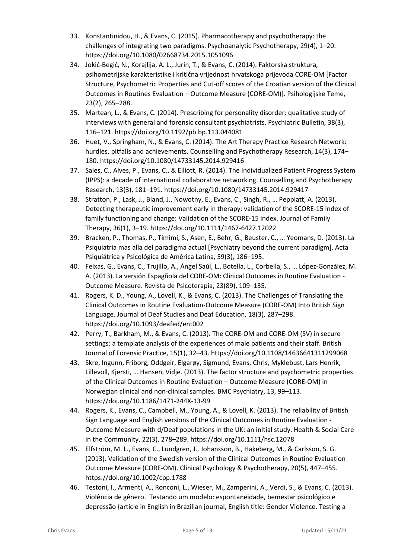- 33. Konstantinidou, H., & Evans, C. (2015). Pharmacotherapy and psychotherapy: the challenges of integrating two paradigms. Psychoanalytic Psychotherapy, 29(4), 1–20. https://doi.org/10.1080/02668734.2015.1051096
- 34. Jokić-Begić, N., Korajlija, A. L., Jurin, T., & Evans, C. (2014). Faktorska struktura, psihometrijske karakteristike i kritična vrijednost hrvatskoga prijevoda CORE-OM [Factor Structure, Psychometric Properties and Cut-off scores of the Croatian version of the Clinical Outcomes in Routines Evaluation – Outcome Measure (CORE-OM)]. Psihologijske Teme, 23(2), 265–288.
- 35. Martean, L., & Evans, C. (2014). Prescribing for personality disorder: qualitative study of interviews with general and forensic consultant psychiatrists. Psychiatric Bulletin, 38(3), 116–121. https://doi.org/10.1192/pb.bp.113.044081
- 36. Huet, V., Springham, N., & Evans, C. (2014). The Art Therapy Practice Research Network: hurdles, pitfalls and achievements. Counselling and Psychotherapy Research, 14(3), 174– 180. https://doi.org/10.1080/14733145.2014.929416
- 37. Sales, C., Alves, P., Evans, C., & Elliott, R. (2014). The Individualized Patient Progress System (IPPS): a decade of international collaborative networking. Counselling and Psychotherapy Research, 13(3), 181–191. https://doi.org/10.1080/14733145.2014.929417
- 38. Stratton, P., Lask, J., Bland, J., Nowotny, E., Evans, C., Singh, R., … Peppiatt, A. (2013). Detecting therapeutic improvement early in therapy: validation of the SCORE-15 index of family functioning and change: Validation of the SCORE-15 index. Journal of Family Therapy, 36(1), 3–19. https://doi.org/10.1111/1467-6427.12022
- 39. Bracken, P., Thomas, P., Timimi, S., Asen, E., Behr, G., Beuster, C., … Yeomans, D. (2013). La Psiquiatria mas alla del paradigma actual [Psychiatry beyond the current paradigm]. Acta Psiquiátrica y Psicológica de América Latina, 59(3), 186–195.
- 40. Feixas, G., Evans, C., Trujillo, A., Ángel Saúl, L., Botella, L., Corbella, S., … López-González, M. A. (2013). La versión Espagñola del CORE-OM: Clinical Outcomes in Routine Evaluation - Outcome Measure. Revista de Psicoterapia, 23(89), 109–135.
- 41. Rogers, K. D., Young, A., Lovell, K., & Evans, C. (2013). The Challenges of Translating the Clinical Outcomes in Routine Evaluation-Outcome Measure (CORE-OM) Into British Sign Language. Journal of Deaf Studies and Deaf Education, 18(3), 287–298. https://doi.org/10.1093/deafed/ent002
- 42. Perry, T., Barkham, M., & Evans, C. (2013). The CORE-OM and CORE-OM (SV) in secure settings: a template analysis of the experiences of male patients and their staff. British Journal of Forensic Practice, 15(1), 32–43. https://doi.org/10.1108/14636641311299068
- 43. Skre, Ingunn, Friborg, Oddgeir, Elgarøy, Sigmund, Evans, Chris, Myklebust, Lars Henrik, Lillevoll, Kjersti, … Hansen, Vidje. (2013). The factor structure and psychometric properties of the Clinical Outcomes in Routine Evaluation – Outcome Measure (CORE-OM) in Norwegian clinical and non-clinical samples. BMC Psychiatry, 13, 99–113. https://doi.org/10.1186/1471-244X-13-99
- 44. Rogers, K., Evans, C., Campbell, M., Young, A., & Lovell, K. (2013). The reliability of British Sign Language and English versions of the Clinical Outcomes in Routine Evaluation - Outcome Measure with d/Deaf populations in the UK: an initial study. Health & Social Care in the Community, 22(3), 278–289. https://doi.org/10.1111/hsc.12078
- 45. Elfström, M. L., Evans, C., Lundgren, J., Johansson, B., Hakeberg, M., & Carlsson, S. G. (2013). Validation of the Swedish version of the Clinical Outcomes in Routine Evaluation Outcome Measure (CORE-OM). Clinical Psychology & Psychotherapy, 20(5), 447–455. https://doi.org/10.1002/cpp.1788
- 46. Testoni, I., Armenti, A., Ronconi, L., Wieser, M., Zamperini, A., Verdi, S., & Evans, C. (2013). Violência de gênero. Testando um modelo: espontaneidade, bemestar psicológico e depressão {article in English in Brazilian journal, English title: Gender Violence. Testing a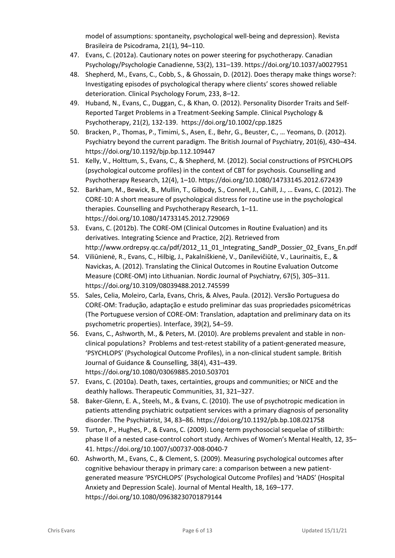model of assumptions: spontaneity, psychological well-being and depression}. Revista Brasileira de Psicodrama, 21(1), 94–110.

- 47. Evans, C. (2012a). Cautionary notes on power steering for psychotherapy. Canadian Psychology/Psychologie Canadienne, 53(2), 131–139. https://doi.org/10.1037/a0027951
- 48. Shepherd, M., Evans, C., Cobb, S., & Ghossain, D. (2012). Does therapy make things worse?: Investigating episodes of psychological therapy where clients' scores showed reliable deterioration. Clinical Psychology Forum, 233, 8–12.
- 49. Huband, N., Evans, C., Duggan, C., & Khan, O. (2012). Personality Disorder Traits and Self-Reported Target Problems in a Treatment-Seeking Sample. Clinical Psychology & Psychotherapy, 21(2), 132-139. https://doi.org/10.1002/cpp.1825
- 50. Bracken, P., Thomas, P., Timimi, S., Asen, E., Behr, G., Beuster, C., … Yeomans, D. (2012). Psychiatry beyond the current paradigm. The British Journal of Psychiatry, 201(6), 430–434. https://doi.org/10.1192/bjp.bp.112.109447
- 51. Kelly, V., Holttum, S., Evans, C., & Shepherd, M. (2012). Social constructions of PSYCHLOPS (psychological outcome profiles) in the context of CBT for psychosis. Counselling and Psychotherapy Research, 12(4), 1–10. https://doi.org/10.1080/14733145.2012.672439
- 52. Barkham, M., Bewick, B., Mullin, T., Gilbody, S., Connell, J., Cahill, J., … Evans, C. (2012). The CORE-10: A short measure of psychological distress for routine use in the psychological therapies. Counselling and Psychotherapy Research, 1–11. https://doi.org/10.1080/14733145.2012.729069
- 53. Evans, C. (2012b). The CORE-OM (Clinical Outcomes in Routine Evaluation) and its derivatives. Integrating Science and Practice, 2(2). Retrieved from http://www.ordrepsy.qc.ca/pdf/2012\_11\_01\_Integrating\_SandP\_Dossier\_02\_Evans\_En.pdf
- 54. Viliūnienė, R., Evans, C., Hilbig, J., Pakalniškienė, V., Danilevičiūtė, V., Laurinaitis, E., & Navickas, A. (2012). Translating the Clinical Outcomes in Routine Evaluation Outcome Measure (CORE-OM) into Lithuanian. Nordic Journal of Psychiatry, 67(5), 305–311. https://doi.org/10.3109/08039488.2012.745599
- 55. Sales, Celia, Moleiro, Carla, Evans, Chris, & Alves, Paula. (2012). Versão Portuguesa do CORE-OM: Tradução, adaptação e estudo preliminar das suas propriedades psicométricas (The Portuguese version of CORE-OM: Translation, adaptation and preliminary data on its psychometric properties). Interface, 39(2), 54–59.
- 56. Evans, C., Ashworth, M., & Peters, M. (2010). Are problems prevalent and stable in nonclinical populations? Problems and test-retest stability of a patient-generated measure, 'PSYCHLOPS' (Psychological Outcome Profiles), in a non-clinical student sample. British Journal of Guidance & Counselling, 38(4), 431–439. https://doi.org/10.1080/03069885.2010.503701
- 57. Evans, C. (2010a). Death, taxes, certainties, groups and communities; or NICE and the deathly hallows. Therapeutic Communities, 31, 321–327.
- 58. Baker-Glenn, E. A., Steels, M., & Evans, C. (2010). The use of psychotropic medication in patients attending psychiatric outpatient services with a primary diagnosis of personality disorder. The Psychiatrist, 34, 83–86. https://doi.org/10.1192/pb.bp.108.021758
- 59. Turton, P., Hughes, P., & Evans, C. (2009). Long-term psychosocial sequelae of stillbirth: phase II of a nested case-control cohort study. Archives of Women's Mental Health, 12, 35– 41. https://doi.org/10.1007/s00737-008-0040-7
- 60. Ashworth, M., Evans, C., & Clement, S. (2009). Measuring psychological outcomes after cognitive behaviour therapy in primary care: a comparison between a new patientgenerated measure 'PSYCHLOPS' (Psychological Outcome Profiles) and 'HADS' (Hospital Anxiety and Depression Scale). Journal of Mental Health, 18, 169–177. https://doi.org/10.1080/09638230701879144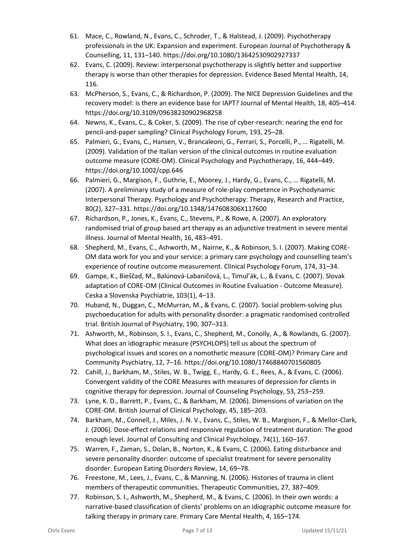- 61. Mace, C., Rowland, N., Evans, C., Schroder, T., & Halstead, J. (2009). Psychotherapy professionals in the UK: Expansion and experiment. European Journal of Psychotherapy & Counselling, 11, 131–140. https://doi.org/10.1080/13642530902927337
- 62. Evans, C. (2009). Review: interpersonal psychotherapy is slightly better and supportive therapy is worse than other therapies for depression. Evidence Based Mental Health, 14, 116.
- 63. McPherson, S., Evans, C., & Richardson, P. (2009). The NICE Depression Guidelines and the recovery model: is there an evidence base for IAPT? Journal of Mental Health, 18, 405–414. https://doi.org/10.3109/09638230902968258
- 64. Newns, K., Evans, C., & Coker, S. (2009). The rise of cyber-research: nearing the end for pencil-and-paper sampling? Clinical Psychology Forum, 193, 25–28.
- 65. Palmieri, G., Evans, C., Hansen, V., Brancaleoni, G., Ferrari, S., Porcelli, P., … Rigatelli, M. (2009). Validation of the Italian version of the clinical outcomes in routine evaluation outcome measure (CORE-OM). Clinical Psychology and Psychotherapy, 16, 444–449. https://doi.org/10.1002/cpp.646
- 66. Palmieri, G., Margison, F., Guthrie, E., Moorey, J., Hardy, G., Evans, C., … Rigatelli, M. (2007). A preliminary study of a measure of role-play competence in Psychodynamic Interpersonal Therapy. Psychology and Psychotherapy: Therapy, Research and Practice, 80(2), 327–331. https://doi.org/10.1348/147608306X117600
- 67. Richardson, P., Jones, K., Evans, C., Stevens, P., & Rowe, A. (2007). An exploratory randomised trial of group based art therapy as an adjunctive treatment in severe mental illness. Journal of Mental Health, 16, 483–491.
- 68. Shepherd, M., Evans, C., Ashworth, M., Nairne, K., & Robinson, S. I. (2007). Making CORE-OM data work for you and your service: a primary care psychology and counselling team's experience of routine outcome measurement. Clinical Psychology Forum, 174, 31–34.
- 69. Gampe, K., Bieščad, M., Balúnová-Labaničová, L., Timul'ák, L., & Evans, C. (2007). Slovak adaptation of CORE-OM (Clinical Outcomes in Routine Evaluation - Outcome Measure). Ceska a Slovenska Psychiatrie, 103(1), 4–13.
- 70. Huband, N., Duggan, C., McMurran, M., & Evans, C. (2007). Social problem-solving plus psychoeducation for adults with personality disorder: a pragmatic randomised controlled trial. British Journal of Psychiatry, 190, 307–313.
- 71. Ashworth, M., Robinson, S. I., Evans, C., Shepherd, M., Conolly, A., & Rowlands, G. (2007). What does an idiographic measure (PSYCHLOPS) tell us about the spectrum of psychological issues and scores on a nomothetic measure (CORE-OM)? Primary Care and Community Psychiatry, 12, 7–16. https://doi.org/10.1080/17468840701560805
- 72. Cahill, J., Barkham, M., Stiles, W. B., Twigg, E., Hardy, G. E., Rees, A., & Evans, C. (2006). Convergent validity of the CORE Measures with measures of depression for clients in cognitive therapy for depression. Journal of Counseling Psychology, 53, 253–259.
- 73. Lyne, K. D., Barrett, P., Evans, C., & Barkham, M. (2006). Dimensions of variation on the CORE-OM. British Journal of Clinical Psychology, 45, 185–203.
- 74. Barkham, M., Connell, J., Miles, J. N. V., Evans, C., Stiles, W. B., Margison, F., & Mellor-Clark, J. (2006). Dose-effect relations and responsive regulation of treatment duration: The good enough level. Journal of Consulting and Clinical Psychology, 74(1), 160–167.
- 75. Warren, F., Zaman, S., Dolan, B., Norton, K., & Evans, C. (2006). Eating disturbance and severe personality disorder: outcome of specialist treatment for severe personality disorder. European Eating Disorders Review, 14, 69–78.
- 76. Freestone, M., Lees, J., Evans, C., & Manning, N. (2006). Histories of trauma in client members of therapeutic communities. Therapeutic Communities, 27, 387–409.
- 77. Robinson, S. I., Ashworth, M., Shepherd, M., & Evans, C. (2006). In their own words: a narrative-based classification of clients' problems on an idiographic outcome measure for talking therapy in primary care. Primary Care Mental Health, 4, 165–174.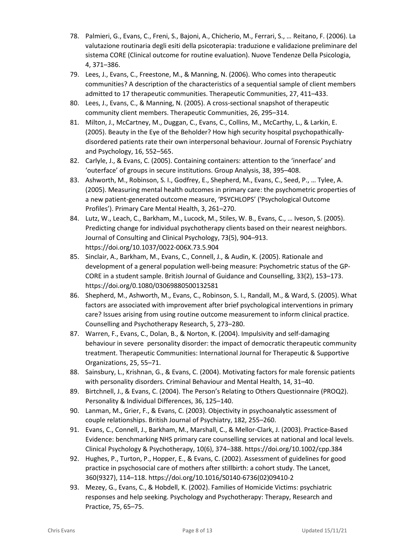- 78. Palmieri, G., Evans, C., Freni, S., Bajoni, A., Chicherio, M., Ferrari, S., … Reitano, F. (2006). La valutazione routinaria degli esiti della psicoterapia: traduzione e validazione preliminare del sistema CORE (Clinical outcome for routine evaluation). Nuove Tendenze Della Psicologia, 4, 371–386.
- 79. Lees, J., Evans, C., Freestone, M., & Manning, N. (2006). Who comes into therapeutic communities? A description of the characteristics of a sequential sample of client members admitted to 17 therapeutic communities. Therapeutic Communities, 27, 411–433.
- 80. Lees, J., Evans, C., & Manning, N. (2005). A cross-sectional snapshot of therapeutic community client members. Therapeutic Communities, 26, 295–314.
- 81. Milton, J., McCartney, M., Duggan, C., Evans, C., Collins, M., McCarthy, L., & Larkin, E. (2005). Beauty in the Eye of the Beholder? How high security hospital psychopathicallydisordered patients rate their own interpersonal behaviour. Journal of Forensic Psychiatry and Psychology, 16, 552–565.
- 82. Carlyle, J., & Evans, C. (2005). Containing containers: attention to the 'innerface' and 'outerface' of groups in secure institutions. Group Analysis, 38, 395–408.
- 83. Ashworth, M., Robinson, S. I., Godfrey, E., Shepherd, M., Evans, C., Seed, P., … Tylee, A. (2005). Measuring mental health outcomes in primary care: the psychometric properties of a new patient-generated outcome measure, 'PSYCHLOPS' ('Psychological Outcome Profiles'). Primary Care Mental Health, 3, 261–270.
- 84. Lutz, W., Leach, C., Barkham, M., Lucock, M., Stiles, W. B., Evans, C., … Iveson, S. (2005). Predicting change for individual psychotherapy clients based on their nearest neighbors. Journal of Consulting and Clinical Psychology, 73(5), 904–913. https://doi.org/10.1037/0022-006X.73.5.904
- 85. Sinclair, A., Barkham, M., Evans, C., Connell, J., & Audin, K. (2005). Rationale and development of a general population well-being measure: Psychometric status of the GP-CORE in a student sample. British Journal of Guidance and Counselling, 33(2), 153–173. https://doi.org/0.1080/03069880500132581
- 86. Shepherd, M., Ashworth, M., Evans, C., Robinson, S. I., Randall, M., & Ward, S. (2005). What factors are associated with improvement after brief psychological interventions in primary care? Issues arising from using routine outcome measurement to inform clinical practice. Counselling and Psychotherapy Research, 5, 273–280.
- 87. Warren, F., Evans, C., Dolan, B., & Norton, K. (2004). Impulsivity and self-damaging behaviour in severe personality disorder: the impact of democratic therapeutic community treatment. Therapeutic Communities: International Journal for Therapeutic & Supportive Organizations, 25, 55–71.
- 88. Sainsbury, L., Krishnan, G., & Evans, C. (2004). Motivating factors for male forensic patients with personality disorders. Criminal Behaviour and Mental Health, 14, 31–40.
- 89. Birtchnell, J., & Evans, C. (2004). The Person's Relating to Others Questionnaire (PROQ2). Personality & Individual Differences, 36, 125–140.
- 90. Lanman, M., Grier, F., & Evans, C. (2003). Objectivity in psychoanalytic assessment of couple relationships. British Journal of Psychiatry, 182, 255–260.
- 91. Evans, C., Connell, J., Barkham, M., Marshall, C., & Mellor-Clark, J. (2003). Practice-Based Evidence: benchmarking NHS primary care counselling services at national and local levels. Clinical Psychology & Psychotherapy, 10(6), 374–388. https://doi.org/10.1002/cpp.384
- 92. Hughes, P., Turton, P., Hopper, E., & Evans, C. (2002). Assessment of guidelines for good practice in psychosocial care of mothers after stillbirth: a cohort study. The Lancet, 360(9327), 114–118. https://doi.org/10.1016/S0140-6736(02)09410-2
- 93. Mezey, G., Evans, C., & Hobdell, K. (2002). Families of Homicide Victims: psychiatric responses and help seeking. Psychology and Psychotherapy: Therapy, Research and Practice, 75, 65–75.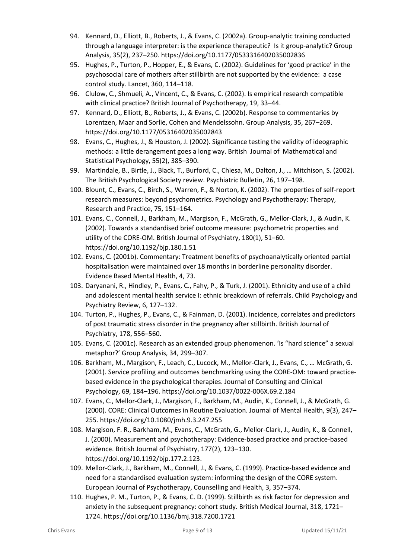- 94. Kennard, D., Elliott, B., Roberts, J., & Evans, C. (2002a). Group-analytic training conducted through a language interpreter: is the experience therapeutic? Is it group-analytic? Group Analysis, 35(2), 237–250. https://doi.org/10.1177/0533316402035002836
- 95. Hughes, P., Turton, P., Hopper, E., & Evans, C. (2002). Guidelines for 'good practice' in the psychosocial care of mothers after stillbirth are not supported by the evidence: a case control study. Lancet, 360, 114–118.
- 96. Clulow, C., Shmueli, A., Vincent, C., & Evans, C. (2002). Is empirical research compatible with clinical practice? British Journal of Psychotherapy, 19, 33–44.
- 97. Kennard, D., Elliott, B., Roberts, J., & Evans, C. (2002b). Response to commentaries by Lorentzen, Maar and Sorlie, Cohen and Mendelssohn. Group Analysis, 35, 267–269. https://doi.org/10.1177/05316402035002843
- 98. Evans, C., Hughes, J., & Houston, J. (2002). Significance testing the validity of ideographic methods: a little derangement goes a long way. British Journal of Mathematical and Statistical Psychology, 55(2), 385–390.
- 99. Martindale, B., Birtle, J., Black, T., Burford, C., Chiesa, M., Dalton, J., … Mitchison, S. (2002). The British Psychological Society review. Psychiatric Bulletin, 26, 197–198.
- 100. Blount, C., Evans, C., Birch, S., Warren, F., & Norton, K. (2002). The properties of self-report research measures: beyond psychometrics. Psychology and Psychotherapy: Therapy, Research and Practice, 75, 151–164.
- 101. Evans, C., Connell, J., Barkham, M., Margison, F., McGrath, G., Mellor-Clark, J., & Audin, K. (2002). Towards a standardised brief outcome measure: psychometric properties and utility of the CORE-OM. British Journal of Psychiatry, 180(1), 51–60. https://doi.org/10.1192/bjp.180.1.51
- 102. Evans, C. (2001b). Commentary: Treatment benefits of psychoanalytically oriented partial hospitalisation were maintained over 18 months in borderline personality disorder. Evidence Based Mental Health, 4, 73.
- 103. Daryanani, R., Hindley, P., Evans, C., Fahy, P., & Turk, J. (2001). Ethnicity and use of a child and adolescent mental health service I: ethnic breakdown of referrals. Child Psychology and Psychiatry Review, 6, 127–132.
- 104. Turton, P., Hughes, P., Evans, C., & Fainman, D. (2001). Incidence, correlates and predictors of post traumatic stress disorder in the pregnancy after stillbirth. British Journal of Psychiatry, 178, 556–560.
- 105. Evans, C. (2001c). Research as an extended group phenomenon. 'Is "hard science" a sexual metaphor?' Group Analysis, 34, 299–307.
- 106. Barkham, M., Margison, F., Leach, C., Lucock, M., Mellor-Clark, J., Evans, C., … McGrath, G. (2001). Service profiling and outcomes benchmarking using the CORE-OM: toward practicebased evidence in the psychological therapies. Journal of Consulting and Clinical Psychology, 69, 184–196. https://doi.org/10.1037/0022-006X.69.2.184
- 107. Evans, C., Mellor-Clark, J., Margison, F., Barkham, M., Audin, K., Connell, J., & McGrath, G. (2000). CORE: Clinical Outcomes in Routine Evaluation. Journal of Mental Health, 9(3), 247– 255. https://doi.org/10.1080/jmh.9.3.247.255
- 108. Margison, F. R., Barkham, M., Evans, C., McGrath, G., Mellor-Clark, J., Audin, K., & Connell, J. (2000). Measurement and psychotherapy: Evidence-based practice and practice-based evidence. British Journal of Psychiatry, 177(2), 123–130. https://doi.org/10.1192/bjp.177.2.123.
- 109. Mellor-Clark, J., Barkham, M., Connell, J., & Evans, C. (1999). Practice-based evidence and need for a standardised evaluation system: informing the design of the CORE system. European Journal of Psychotherapy, Counselling and Health, 3, 357–374.
- 110. Hughes, P. M., Turton, P., & Evans, C. D. (1999). Stillbirth as risk factor for depression and anxiety in the subsequent pregnancy: cohort study. British Medical Journal, 318, 1721– 1724. https://doi.org/10.1136/bmj.318.7200.1721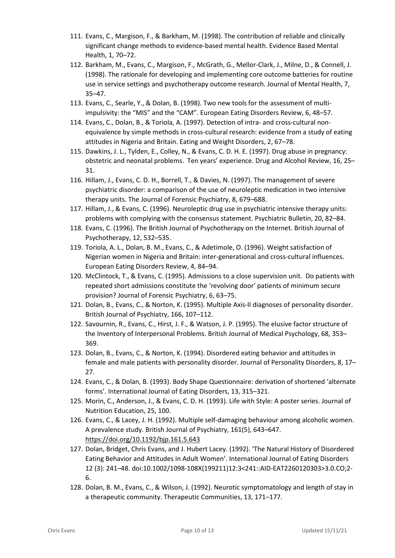- 111. Evans, C., Margison, F., & Barkham, M. (1998). The contribution of reliable and clinically significant change methods to evidence-based mental health. Evidence Based Mental Health, 1, 70–72.
- 112. Barkham, M., Evans, C., Margison, F., McGrath, G., Mellor-Clark, J., Milne, D., & Connell, J. (1998). The rationale for developing and implementing core outcome batteries for routine use in service settings and psychotherapy outcome research. Journal of Mental Health, 7, 35–47.
- 113. Evans, C., Searle, Y., & Dolan, B. (1998). Two new tools for the assessment of multiimpulsivity: the "MIS" and the "CAM". European Eating Disorders Review, 6, 48–57.
- 114. Evans, C., Dolan, B., & Toriola, A. (1997). Detection of intra- and cross-cultural nonequivalence by simple methods in cross-cultural research: evidence from a study of eating attitudes in Nigeria and Britain. Eating and Weight Disorders, 2, 67–78.
- 115. Dawkins, J. L., Tylden, E., Colley, N., & Evans, C. D. H. E. (1997). Drug abuse in pregnancy: obstetric and neonatal problems. Ten years' experience. Drug and Alcohol Review, 16, 25– 31.
- 116. Hillam, J., Evans, C. D. H., Borrell, T., & Davies, N. (1997). The management of severe psychiatric disorder: a comparison of the use of neuroleptic medication in two intensive therapy units. The Journal of Forensic Psychiatry, 8, 679–688.
- 117. Hillam, J., & Evans, C. (1996). Neuroleptic drug use in psychiatric intensive therapy units: problems with complying with the consensus statement. Psychiatric Bulletin, 20, 82–84.
- 118. Evans, C. (1996). The British Journal of Psychotherapy on the Internet. British Journal of Psychotherapy, 12, 532–535.
- 119. Toriola, A. L., Dolan, B. M., Evans, C., & Adetimole, O. (1996). Weight satisfaction of Nigerian women in Nigeria and Britain: inter-generational and cross-cultural influences. European Eating Disorders Review, 4, 84–94.
- 120. McClintock, T., & Evans, C. (1995). Admissions to a close supervision unit. Do patients with repeated short admissions constitute the 'revolving door' patients of minimum secure provision? Journal of Forensic Psychiatry, 6, 63–75.
- 121. Dolan, B., Evans, C., & Norton, K. (1995). Multiple Axis-II diagnoses of personality disorder. British Journal of Psychiatry, 166, 107–112.
- 122. Savournin, R., Evans, C., Hirst, J. F., & Watson, J. P. (1995). The elusive factor structure of the Inventory of Interpersonal Problems. British Journal of Medical Psychology, 68, 353– 369.
- 123. Dolan, B., Evans, C., & Norton, K. (1994). Disordered eating behavior and attitudes in female and male patients with personality disorder. Journal of Personality Disorders, 8, 17– 27.
- 124. Evans, C., & Dolan, B. (1993). Body Shape Questionnaire: derivation of shortened 'alternate forms'. International Journal of Eating Disorders, 13, 315–321.
- 125. Morin, C., Anderson, J., & Evans, C. D. H. (1993). Life with Style: A poster series. Journal of Nutrition Education, 25, 100.
- 126. Evans, C., & Lacey, J. H. (1992). Multiple self-damaging behaviour among alcoholic women. A prevalence study. British Journal of Psychiatry, 161(5), 643–647. <https://doi.org/10.1192/bjp.161.5.643>
- 127. Dolan, Bridget, Chris Evans, and J. Hubert Lacey. (1992). 'The Natural History of Disordered Eating Behavior and Attitudes in Adult Women'. International Journal of Eating Disorders 12 (3): 241–48. doi:10.1002/1098-108X(199211)12:3<241::AID-EAT2260120303>3.0.CO;2- 6.
- 128. Dolan, B. M., Evans, C., & Wilson, J. (1992). Neurotic symptomatology and length of stay in a therapeutic community. Therapeutic Communities, 13, 171–177.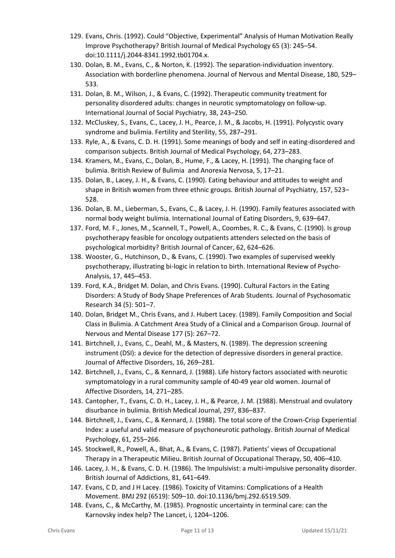- 129. Evans, Chris. (1992). Could "Objective, Experimental" Analysis of Human Motivation Really Improve Psychotherapy? British Journal of Medical Psychology 65 (3): 245–54. doi:10.1111/j.2044-8341.1992.tb01704.x.
- 130. Dolan, B. M., Evans, C., & Norton, K. (1992). The separation-individuation inventory. Association with borderline phenomena. Journal of Nervous and Mental Disease, 180, 529– 533.
- 131. Dolan, B. M., Wilson, J., & Evans, C. (1992). Therapeutic community treatment for personality disordered adults: changes in neurotic symptomatology on follow-up. International Journal of Social Psychiatry, 38, 243–250.
- 132. McCluskey, S., Evans, C., Lacey, J. H., Pearce, J. M., & Jacobs, H. (1991). Polycystic ovary syndrome and bulimia. Fertility and Sterility, 55, 287–291.
- 133. Ryle, A., & Evans, C. D. H. (1991). Some meanings of body and self in eating-disordered and comparison subjects. British Journal of Medical Psychology, 64, 273–283.
- 134. Kramers, M., Evans, C., Dolan, B., Hume, F., & Lacey, H. (1991). The changing face of bulimia. British Review of Bulimia and Anorexia Nervosa, 5, 17–21.
- 135. Dolan, B., Lacey, J. H., & Evans, C. (1990). Eating behaviour and attitudes to weight and shape in British women from three ethnic groups. British Journal of Psychiatry, 157, 523– 528.
- 136. Dolan, B. M., Lieberman, S., Evans, C., & Lacey, J. H. (1990). Family features associated with normal body weight bulimia. International Journal of Eating Disorders, 9, 639–647.
- 137. Ford, M. F., Jones, M., Scannell, T., Powell, A., Coombes, R. C., & Evans, C. (1990). Is group psychotherapy feasible for oncology outpatients attenders selected on the basis of psychological morbidity? British Journal of Cancer, 62, 624–626.
- 138. Wooster, G., Hutchinson, D., & Evans, C. (1990). Two examples of supervised weekly psychotherapy, illustrating bi-logic in relation to birth. International Review of Psycho-Analysis, 17, 445–453.
- 139. Ford, K.A., Bridget M. Dolan, and Chris Evans. (1990). Cultural Factors in the Eating Disorders: A Study of Body Shape Preferences of Arab Students. Journal of Psychosomatic Research 34 (5): 501–7.
- 140. Dolan, Bridget M., Chris Evans, and J. Hubert Lacey. (1989). Family Composition and Social Class in Bulimia. A Catchment Area Study of a Clinical and a Comparison Group. Journal of Nervous and Mental Disease 177 (5): 267–72.
- 141. Birtchnell, J., Evans, C., Deahl, M., & Masters, N. (1989). The depression screening instrument (DSI): a device for the detection of depressive disorders in general practice. Journal of Affective Disorders, 16, 269–281.
- 142. Birtchnell, J., Evans, C., & Kennard, J. (1988). Life history factors associated with neurotic symptomatology in a rural community sample of 40-49 year old women. Journal of Affective Disorders, 14, 271–285.
- 143. Cantopher, T., Evans, C. D. H., Lacey, J. H., & Pearce, J. M. (1988). Menstrual and ovulatory disurbance in bulimia. British Medical Journal, 297, 836–837.
- 144. Birtchnell, J., Evans, C., & Kennard, J. (1988). The total score of the Crown-Crisp Experiential Index: a useful and valid measure of psychoneurotic pathology. British Journal of Medical Psychology, 61, 255–266.
- 145. Stockwell, R., Powell, A., Bhat, A., & Evans, C. (1987). Patients' views of Occupational Therapy in a Therapeutic Milieu. British Journal of Occupational Therapy, 50, 406–410.
- 146. Lacey, J. H., & Evans, C. D. H. (1986). The Impulsivist: a multi-impulsive personality disorder. British Journal of Addictions, 81, 641–649.
- 147. Evans, C D, and J H Lacey. (1986). Toxicity of Vitamins: Complications of a Health Movement. BMJ 292 (6519): 509–10. doi:10.1136/bmj.292.6519.509.
- 148. Evans, C., & McCarthy, M. (1985). Prognostic uncertainty in terminal care: can the Karnovsky index help? The Lancet, i, 1204–1206.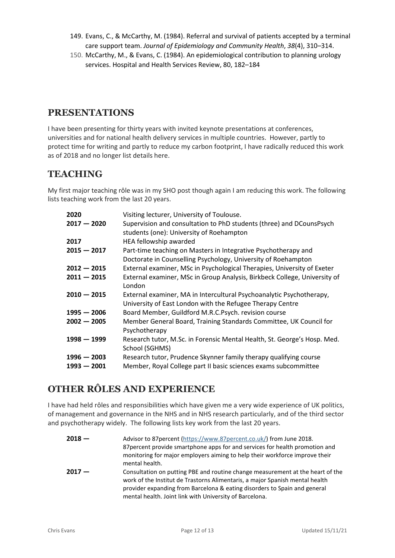- 149. Evans, C., & McCarthy, M. (1984). Referral and survival of patients accepted by a terminal care support team. *Journal of Epidemiology and Community Health*, *38*(4), 310–314.
- 150. McCarthy, M., & Evans, C. (1984). An epidemiological contribution to planning urology services. Hospital and Health Services Review, 80, 182–184

# **PRESENTATIONS**

I have been presenting for thirty years with invited keynote presentations at conferences, universities and for national health delivery services in multiple countries. However, partly to protect time for writing and partly to reduce my carbon footprint, I have radically reduced this work as of 2018 and no longer list details here.

# **TEACHING**

My first major teaching rôle was in my SHO post though again I am reducing this work. The following lists teaching work from the last 20 years.

| 2020          | Visiting lecturer, University of Toulouse.                                                                                        |
|---------------|-----------------------------------------------------------------------------------------------------------------------------------|
| $2017 - 2020$ | Supervision and consultation to PhD students (three) and DCounsPsych                                                              |
|               | students (one): University of Roehampton                                                                                          |
| 2017          | HEA fellowship awarded                                                                                                            |
| $2015 - 2017$ | Part-time teaching on Masters in Integrative Psychotherapy and                                                                    |
|               | Doctorate in Counselling Psychology, University of Roehampton                                                                     |
| $2012 - 2015$ | External examiner, MSc in Psychological Therapies, University of Exeter                                                           |
| $2011 - 2015$ | External examiner, MSc in Group Analysis, Birkbeck College, University of<br>London                                               |
| $2010 - 2015$ | External examiner, MA in Intercultural Psychoanalytic Psychotherapy,<br>University of East London with the Refugee Therapy Centre |
| $1995 - 2006$ | Board Member, Guildford M.R.C.Psych. revision course                                                                              |
| $2002 - 2005$ | Member General Board, Training Standards Committee, UK Council for<br>Psychotherapy                                               |
| $1998 - 1999$ | Research tutor, M.Sc. in Forensic Mental Health, St. George's Hosp. Med.<br>School (SGHMS)                                        |
| $1996 - 2003$ | Research tutor, Prudence Skynner family therapy qualifying course                                                                 |
| $1993 - 2001$ | Member, Royal College part II basic sciences exams subcommittee                                                                   |

# **OTHER RÔLES AND EXPERIENCE**

I have had held rôles and responsibilities which have given me a very wide experience of UK politics, of management and governance in the NHS and in NHS research particularly, and of the third sector and psychotherapy widely. The following lists key work from the last 20 years.

| $2018 -$ | Advisor to 87 percent (https://www.87 percent.co.uk/) from June 2018.<br>87 percent provide smartphone apps for and services for health promotion and<br>monitoring for major employers aiming to help their workforce improve their<br>mental health.                                                 |
|----------|--------------------------------------------------------------------------------------------------------------------------------------------------------------------------------------------------------------------------------------------------------------------------------------------------------|
| $2017 -$ | Consultation on putting PBE and routine change measurement at the heart of the<br>work of the Institut de Trastorns Alimentaris, a major Spanish mental health<br>provider expanding from Barcelona & eating disorders to Spain and general<br>mental health. Joint link with University of Barcelona. |